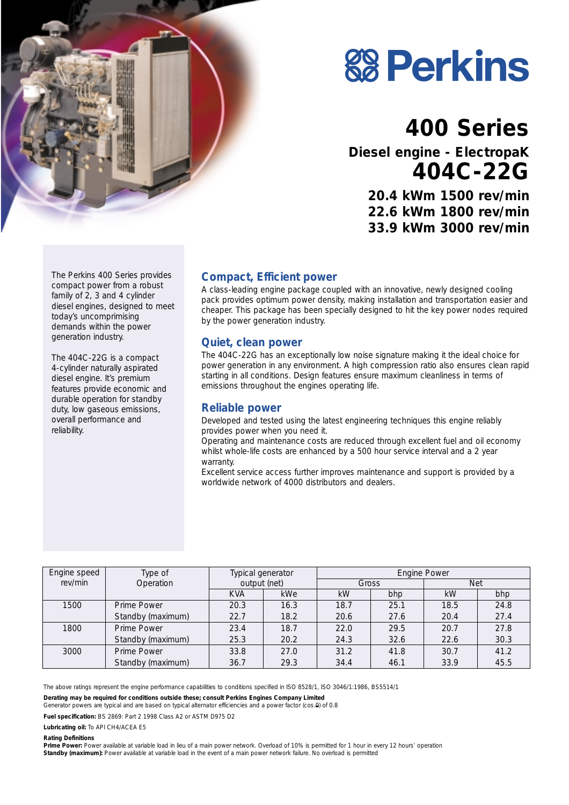

# **88 Perkins**

# **400 Series**

**Diesel engine - ElectropaK 404C-22G**

> **20.4 kWm 1500 rev/min 22.6 kWm 1800 rev/min 33.9 kWm 3000 rev/min**

#### **Compact, Efficient power**

A class-leading engine package coupled with an innovative, newly designed cooling pack provides optimum power density, making installation and transportation easier and cheaper. This package has been specially designed to hit the key power nodes required by the power generation industry.

#### **Quiet, clean power**

The 404C-22G has an exceptionally low noise signature making it the ideal choice for power generation in any environment. A high compression ratio also ensures clean rapid starting in all conditions. Design features ensure maximum cleanliness in terms of emissions throughout the engines operating life.

#### **Reliable power**

Developed and tested using the latest engineering techniques this engine reliably provides power when you need it.

Operating and maintenance costs are reduced through excellent fuel and oil economy whilst whole-life costs are enhanced by a 500 hour service interval and a 2 year warranty.

Excellent service access further improves maintenance and support is provided by a worldwide network of 4000 distributors and dealers.

| Engine speed | Type of           | Typical generator<br>output (net) |      | Engine Power |      |            |      |
|--------------|-------------------|-----------------------------------|------|--------------|------|------------|------|
| rev/min      | Operation         |                                   |      | Gross        |      | <b>Net</b> |      |
|              |                   | <b>KVA</b>                        | kWe  | kW           | bhp  | kW         | bhp  |
| 1500         | Prime Power       | 20.3                              | 16.3 | 18.7         | 25.1 | 18.5       | 24.8 |
|              | Standby (maximum) | 22.7                              | 18.2 | 20.6         | 27.6 | 20.4       | 27.4 |
| 1800         | Prime Power       | 23.4                              | 18.7 | 22.0         | 29.5 | 20.7       | 27.8 |
|              | Standby (maximum) | 25.3                              | 20.2 | 24.3         | 32.6 | 22.6       | 30.3 |
| 3000         | Prime Power       | 33.8                              | 27.0 | 31.2         | 41.8 | 30.7       | 41.2 |
|              | Standby (maximum) | 36.7                              | 29.3 | 34.4         | 46.1 | 33.9       | 45.5 |

The above ratings represent the engine performance capabilities to conditions specified in ISO 8528/1, ISO 3046/1:1986, BS5514/1

**Derating may be required for conditions outside these; consult Perkins Engines Company Limited**

Generator powers are typical and are based on typical alternator efficiencies and a power factor (cos.0) of 0.8

**Fuel specification:** BS 2869: Part 2 1998 Class A2 or ASTM D975 D2

**Lubricating oil:** To API CH4/ACEA E5

**Rating Definitions**

**Prime Power:** Power available at variable load in lieu of a main power network. Overload of 10% is permitted for 1 hour in every 12 hours' operation **Standby (maximum):** Power available at variable load in the event of a main power network failure. No overload is permitted

The Perkins 400 Series provides compact power from a robust family of 2, 3 and 4 cylinder diesel engines, designed to meet today's uncomprimising demands within the power generation industry.

The 404C-22G is a compact 4-cylinder naturally aspirated diesel engine. It's premium features provide economic and durable operation for standby duty, low gaseous emissions, overall performance and reliability.